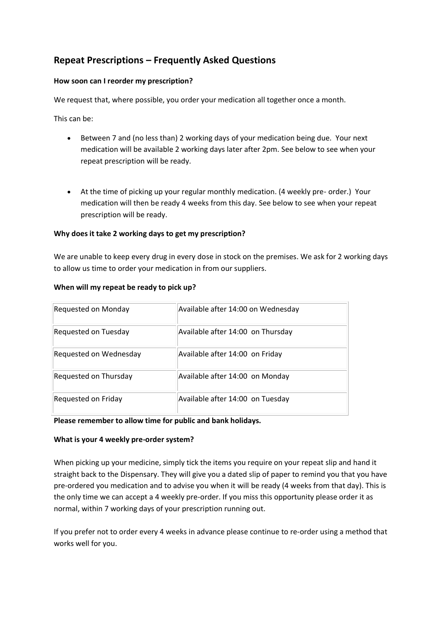# **Repeat Prescriptions – Frequently Asked Questions**

#### **How soon can I reorder my prescription?**

We request that, where possible, you order your medication all together once a month.

This can be:

- Between 7 and (no less than) 2 working days of your medication being due. Your next medication will be available 2 working days later after 2pm. See below to see when your repeat prescription will be ready.
- At the time of picking up your regular monthly medication. (4 weekly pre- order.) Your medication will then be ready 4 weeks from this day. See below to see when your repeat prescription will be ready.

# **Why does it take 2 working days to get my prescription?**

We are unable to keep every drug in every dose in stock on the premises. We ask for 2 working days to allow us time to order your medication in from our suppliers.

| Requested on Monday    | Available after 14:00 on Wednesday |
|------------------------|------------------------------------|
| Requested on Tuesday   | Available after 14:00 on Thursday  |
| Requested on Wednesday | Available after 14:00 on Friday    |
| Requested on Thursday  | Available after 14:00 on Monday    |
| Requested on Friday    | Available after 14:00 on Tuesday   |

#### **When will my repeat be ready to pick up?**

#### **Please remember to allow time for public and bank holidays.**

#### **What is your 4 weekly pre-order system?**

When picking up your medicine, simply tick the items you require on your repeat slip and hand it straight back to the Dispensary. They will give you a dated slip of paper to remind you that you have pre-ordered you medication and to advise you when it will be ready (4 weeks from that day). This is the only time we can accept a 4 weekly pre-order. If you miss this opportunity please order it as normal, within 7 working days of your prescription running out.

If you prefer not to order every 4 weeks in advance please continue to re-order using a method that works well for you.